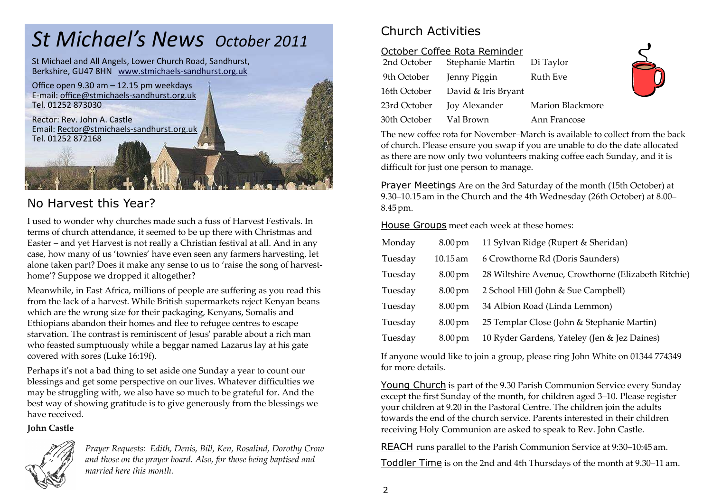# *St Michael's News October 2011*

St Michael and All Angels, Lower Church Road, Sandhurst, Berkshire, GU47 8HN www.stmichaels-sandhurst.org.uk



## No Harvest this Year?

I used to wonder why churches made such a fuss of Harvest Festivals. In terms of church attendance, it seemed to be up there with Christmas and Easter – and yet Harvest is not really a Christian festival at all. And in any case, how many of us 'townies' have even seen any farmers harvesting, let alone taken part? Does it make any sense to us to 'raise the song of harvesthome'? Suppose we dropped it altogether?

Meanwhile, in East Africa, millions of people are suffering as you read this from the lack of a harvest. While British supermarkets reject Kenyan beans which are the wrong size for their packaging, Kenyans, Somalis and Ethiopians abandon their homes and flee to refugee centres to escape starvation. The contrast is reminiscent of Jesusʹ parable about a rich man who feasted sumptuously while a beggar named Lazarus lay at his gate covered with sores (Luke 16:19f).

Perhaps it's not a bad thing to set aside one Sunday a year to count our blessings and get some perspective on our lives. Whatever difficulties we may be struggling with, we also have so much to be grateful for. And the best way of showing gratitude is to give generously from the blessings we have received.

#### **John Castle**



*Prayer Requests: Edith, Denis, Bill, Ken, Rosalind, Dorothy Crow and those on the prayer board. Also, for those being baptised and married here this month.* 

# Church Activities

#### October Coffee Rota Reminder

| 2nd October  | Stephanie Martin     | Di Taylor        |
|--------------|----------------------|------------------|
| 9th October  | Jenny Piggin         | Ruth Eve         |
| 16th October | David & Iris Bryant  |                  |
| 23rd October | <b>Joy Alexander</b> | Marion Blackmore |
| 30th October | Val Brown            | Ann Francose     |

The new coffee rota for November–March is available to collect from the back of church. Please ensure you swap if you are unable to do the date allocated as there are now only two volunteers making coffee each Sunday, and it is difficult for just one person to manage.

Prayer Meetings Are on the 3rd Saturday of the month (15th October) at 9.30–10.15 am in the Church and the 4th Wednesday (26th October) at 8.00– 8.45pm.

House Groups meet each week at these homes:

| Monday  | $8.00 \,\mathrm{pm}$ | 11 Sylvan Ridge (Rupert & Sheridan)                 |
|---------|----------------------|-----------------------------------------------------|
| Tuesday | $10.15$ am           | 6 Crowthorne Rd (Doris Saunders)                    |
| Tuesday | $8.00 \,\mathrm{pm}$ | 28 Wiltshire Avenue, Crowthorne (Elizabeth Ritchie) |
| Tuesday | $8.00 \,\mathrm{pm}$ | 2 School Hill (John & Sue Campbell)                 |
| Tuesday | $8.00 \,\mathrm{pm}$ | 34 Albion Road (Linda Lemmon)                       |
| Tuesday | $8.00 \,\mathrm{pm}$ | 25 Templar Close (John & Stephanie Martin)          |
| Tuesday | $8.00 \,\mathrm{pm}$ | 10 Ryder Gardens, Yateley (Jen & Jez Daines)        |

If anyone would like to join a group, please ring John White on 01344 774349 for more details.

Young Church is part of the 9.30 Parish Communion Service every Sunday except the first Sunday of the month, for children aged 3–10. Please register your children at 9.20 in the Pastoral Centre. The children join the adults towards the end of the church service. Parents interested in their children receiving Holy Communion are asked to speak to Rev. John Castle.

REACH runs parallel to the Parish Communion Service at 9:30–10:45 am.

Toddler Time is on the 2nd and 4th Thursdays of the month at 9.30–11 am.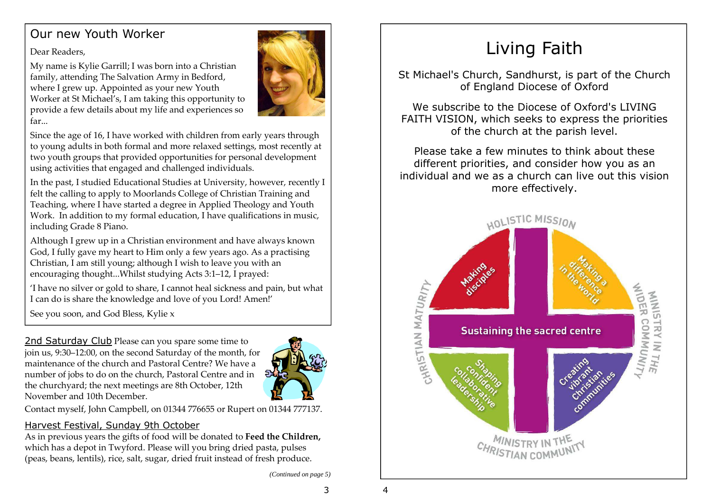# Our new Youth Worker

Dear Readers,

My name is Kylie Garrill; I was born into a Christian family, attending The Salvation Army in Bedford, where I grew up. Appointed as your new Youth Worker at St Michael's, I am taking this opportunity to provide a few details about my life and experiences so far...



Since the age of 16, I have worked with children from early years through to young adults in both formal and more relaxed settings, most recently at two youth groups that provided opportunities for personal development using activities that engaged and challenged individuals.

In the past, I studied Educational Studies at University, however, recently I felt the calling to apply to Moorlands College of Christian Training and Teaching, where I have started a degree in Applied Theology and Youth Work. In addition to my formal education, I have qualifications in music, including Grade 8 Piano.

Although I grew up in a Christian environment and have always known God, I fully gave my heart to Him only a few years ago. As a practising Christian, I am still young; although I wish to leave you with an encouraging thought...Whilst studying Acts 3:1–12, I prayed:

'I have no silver or gold to share, I cannot heal sickness and pain, but what I can do is share the knowledge and love of you Lord! Amen!'

See you soon, and God Bless, Kylie x

2nd Saturday Club Please can you spare some time to join us, 9:30–12:00, on the second Saturday of the month, for maintenance of the church and Pastoral Centre? We have a number of jobs to do on the church, Pastoral Centre and in the churchyard; the next meetings are 8th October, 12th November and 10th December.



Contact myself, John Campbell, on 01344 776655 or Rupert on 01344 777137.

#### Harvest Festival, Sunday 9th October

 As in previous years the gifts of food will be donated to **Feed the Children,**  which has a depot in Twyford. Please will you bring dried pasta, pulses (peas, beans, lentils), rice, salt, sugar, dried fruit instead of fresh produce.

*(Continued on page 5)* 

3

# Living Faith

St Michael's Church, Sandhurst, is part of the Church of England Diocese of Oxford

We subscribe to the Diocese of Oxford's LIVING FAITH VISION, which seeks to express the prioritiesof the church at the parish level.

Please take a few minutes to think about these different priorities, and consider how you as an individual and we as a church can live out this vision more effectively.

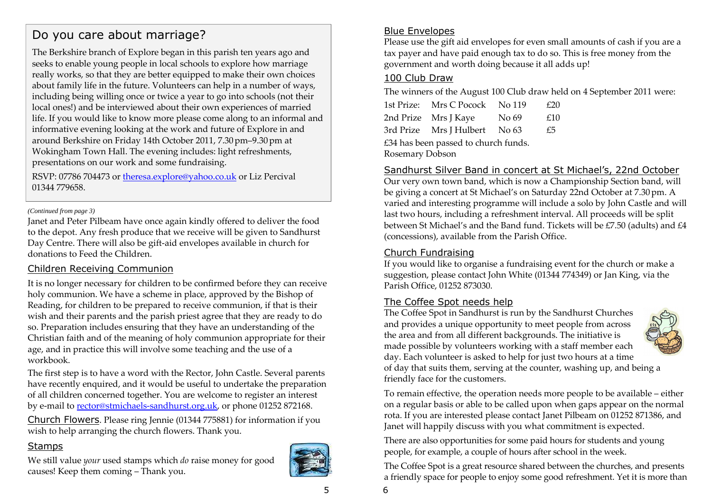## Do you care about marriage?

The Berkshire branch of Explore began in this parish ten years ago and seeks to enable young people in local schools to explore how marriage really works, so that they are better equipped to make their own choices about family life in the future. Volunteers can help in a number of ways, including being willing once or twice a year to go into schools (not their local ones!) and be interviewed about their own experiences of married life. If you would like to know more please come along to an informal and informative evening looking at the work and future of Explore in and around Berkshire on Friday 14th October 2011, 7.30pm–9.30pm at Wokingham Town Hall. The evening includes: light refreshments, presentations on our work and some fundraising.

RSVP: 07786 704473 or theresa.explore@yahoo.co.uk or Liz Percival 01344 779658.

#### *(Continued from page 3)*

Janet and Peter Pilbeam have once again kindly offered to deliver the food to the depot. Any fresh produce that we receive will be given to Sandhurst Day Centre. There will also be gift-aid envelopes available in church for donations to Feed the Children.

#### Children Receiving Communion

It is no longer necessary for children to be confirmed before they can receive holy communion. We have a scheme in place, approved by the Bishop of Reading, for children to be prepared to receive communion, if that is their wish and their parents and the parish priest agree that they are ready to do so. Preparation includes ensuring that they have an understanding of the Christian faith and of the meaning of holy communion appropriate for their age, and in practice this will involve some teaching and the use of a workbook.

The first step is to have a word with the Rector, John Castle. Several parents have recently enquired, and it would be useful to undertake the preparation of all children concerned together. You are welcome to register an interest by e-mail to rector@stmichaels-sandhurst.org.uk, or phone 01252 872168.

Church Flowers. Please ring Jennie (01344 775881) for information if you wish to help arranging the church flowers. Thank you.

#### **Stamps**

We still value *your* used stamps which *do* raise money for good causes! Keep them coming – Thank you.



5

#### Blue Envelopes

 Please use the gift aid envelopes for even small amounts of cash if you are a tax payer and have paid enough tax to do so. This is free money from the government and worth doing because it all adds up!

#### 100 Club Draw

The winners of the August 100 Club draw held on 4 September 2011 were:

1st Prize: Mrs C Pocock No 119 £20 2nd Prize Mrs J Kave No 69 £10 3rd Prize Mrs I Hulbert No 63 £5 £34 has been passed to church funds. Rosemary Dobson

#### Sandhurst Silver Band in concert at St Michael's, 22nd October

 Our very own town band, which is now a Championship Section band, will be giving a concert at St Michael's on Saturday 22nd October at 7.30pm. A varied and interesting programme will include a solo by John Castle and will last two hours, including a refreshment interval. All proceeds will be split between St Michael's and the Band fund. Tickets will be £7.50 (adults) and £4 (concessions), available from the Parish Office.

#### Church Fundraising

 If you would like to organise a fundraising event for the church or make a suggestion, please contact John White (01344 774349) or Jan King, via the Parish Office, 01252 873030.

#### The Coffee Spot needs help

 The Coffee Spot in Sandhurst is run by the Sandhurst Churches and provides a unique opportunity to meet people from across the area and from all different backgrounds. The initiative is made possible by volunteers working with a staff member each day. Each volunteer is asked to help for just two hours at a time of day that suits them, serving at the counter, washing up, and being a friendly face for the customers.

To remain effective, the operation needs more people to be available – either on a regular basis or able to be called upon when gaps appear on the normal rota. If you are interested please contact Janet Pilbeam on 01252 871386, and Janet will happily discuss with you what commitment is expected.

There are also opportunities for some paid hours for students and young people, for example, a couple of hours after school in the week.

The Coffee Spot is a great resource shared between the churches, and presents a friendly space for people to enjoy some good refreshment. Yet it is more than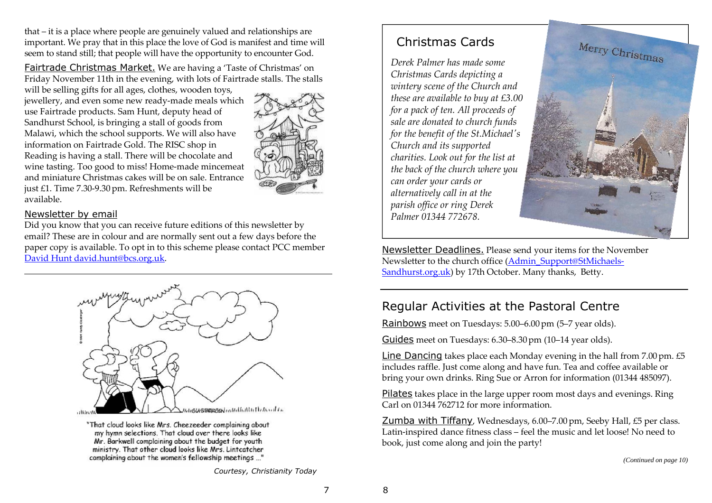that – it is a place where people are genuinely valued and relationships are important. We pray that in this place the love of God is manifest and time will seem to stand still; that people will have the opportunity to encounter God.

Fairtrade Christmas Market. We are having a 'Taste of Christmas' on Friday November 11th in the evening, with lots of Fairtrade stalls. The stalls

will be selling gifts for all ages, clothes, wooden toys, jewellery, and even some new ready-made meals whichuse Fairtrade products. Sam Hunt, deputy head of Sandhurst School, is bringing a stall of goods from Malawi, which the school supports. We will also have information on Fairtrade Gold. The RISC shop in Reading is having a stall. There will be chocolate and wine tasting. Too good to miss! Home-made mincemeat and miniature Christmas cakes will be on sale. Entrance just £1. Time 7.30-9.30 pm. Refreshments will be available.



#### Newsletter by email

 Did you know that you can receive future editions of this newsletter by email? These are in colour and are normally sent out a few days before the paper copy is available. To opt in to this scheme please contact PCC member David Hunt david.hunt@bcs.org.uk.



"That cloud looks like Mrs. Cheezeeder complaining about my hymn selections. That cloud over there looks like Mr. Barkwell complaining about the budget for youth ministry. That other cloud looks like Mrs. Lintcatcher complaining about the women's fellowship meetings ..."

Christmas Cards

*Derek Palmer has made some Christmas Cards depicting a wintery scene of the Church and these are available to buy at £3.00 for a pack of ten. All proceeds of sale are donated to church funds for the benefit of the St.Michaelʹs Church and its supported charities. Look out for the list at the back of the church where you can order your cards or alternatively call in at the parish office or ring Derek Palmer 01344 772678.* 



Newsletter Deadlines. Please send your items for the November Newsletter to the church office (Admin\_Support@StMichaels-Sandhurst.org.uk) by 17th October. Many thanks, Betty.

### Regular Activities at the Pastoral Centre

Rainbows meet on Tuesdays: 5.00–6.00 pm (5–7 year olds).

Guides meet on Tuesdays: 6.30–8.30pm (10–14 year olds).

Line Dancing takes place each Monday evening in the hall from 7.00 pm. £5 includes raffle. Just come along and have fun. Tea and coffee available or bring your own drinks. Ring Sue or Arron for information (01344 485097).

Pilates takes place in the large upper room most days and evenings. Ring Carl on 01344 762712 for more information.

Zumba with Tiffany, Wednesdays, 6.00-7.00 pm, Seeby Hall, £5 per class. Latin-inspired dance fitness class – feel the music and let loose! No need to book, just come along and join the party!

*(Continued on page 10)* 

*Courtesy, Christianity Today* 

8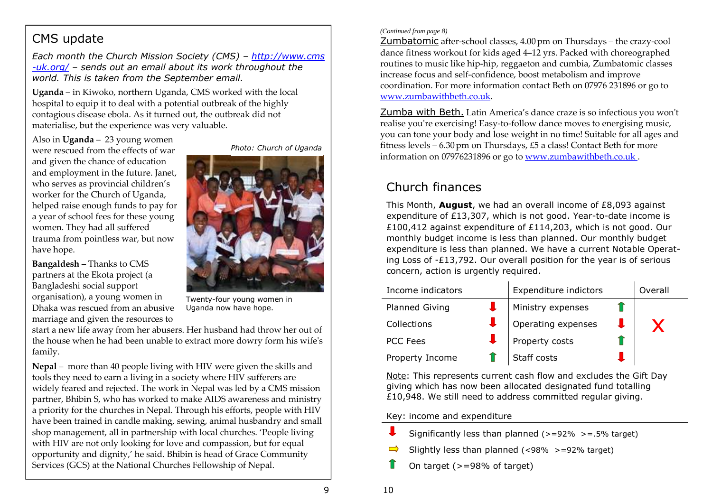# CMS update

*Each month the Church Mission Society (CMS) – http://www.cms-uk.org/ – sends out an email about its work throughout theworld. This is taken from the September email.* 

**Uganda** – in Kiwoko, northern Uganda, CMS worked with the local hospital to equip it to deal with a potential outbreak of the highly contagious disease ebola. As it turned out, the outbreak did not materialise, but the experience was very valuable.

Also in **Uganda** – 23 young women were rescued from the effects of war and given the chance of education and employment in the future. Janet, who serves as provincial children's worker for the Church of Uganda, helped raise enough funds to pay for a year of school fees for these young women. They had all suffered trauma from pointless war, but now have hope.

**Bangaldesh –** Thanks to CMS partners at the Ekota project (a Bangladeshi social support organisation), a young women in Dhaka was rescued from an abusive marriage and given the resources to

*Photo: Church of Uganda* 



Twenty-four young women in Uganda now have hope.

start a new life away from her abusers. Her husband had throw her out of the house when he had been unable to extract more dowry form his wife's family.

**Nepal** – more than 40 people living with HIV were given the skills and tools they need to earn a living in a society where HIV sufferers are widely feared and rejected. The work in Nepal was led by a CMS mission partner, Bhibin S, who has worked to make AIDS awareness and ministry a priority for the churches in Nepal. Through his efforts, people with HIV have been trained in candle making, sewing, animal husbandry and small shop management, all in partnership with local churches. 'People living with HIV are not only looking for love and compassion, but for equal opportunity and dignity,' he said. Bhibin is head of Grace Community Services (GCS) at the National Churches Fellowship of Nepal.

#### *(Continued from page 8)*

Zumbatomic after-school classes, 4.00pm on Thursdays – the crazy-cool dance fitness workout for kids aged 4–12 yrs. Packed with choreographed routines to music like hip-hip, reggaeton and cumbia, Zumbatomic classes increase focus and self-confidence, boost metabolism and improve coordination. For more information contact Beth on 07976 231896 or go to www.zumbawithbeth.co.uk.

Zumba with Beth. Latin America's dance craze is so infectious you wonʹt realise you're exercising! Easy-to-follow dance moves to energising music, you can tone your body and lose weight in no time! Suitable for all ages and fitness levels –  $6.30 \text{ pm}$  on Thursdays, £5 a class! Contact Beth for more information on 07976231896 or go to www.zumbawithbeth.co.uk .

# Church finances

This Month, **August**, we had an overall income of £8,093 against expenditure of £13,307, which is not good. Year-to-date income is £100,412 against expenditure of £114,203, which is not good. Our monthly budget income is less than planned. Our monthly budget expenditure is less than planned. We have a current Notable Operating Loss of -£13,792. Our overall position for the year is of serious concern, action is urgently required.

| Income indicators     | Expenditure indictors |  | Overall |
|-----------------------|-----------------------|--|---------|
| <b>Planned Giving</b> | Ministry expenses     |  |         |
| Collections           | Operating expenses    |  |         |
| <b>PCC Fees</b>       | Property costs        |  |         |
| Property Income       | Staff costs           |  |         |

Note: This represents current cash flow and excludes the Gift Day giving which has now been allocated designated fund totalling £10,948. We still need to address committed regular giving.

Key: income and expenditure

- Significantly less than planned ( $>=$  92%  $>=$  .5% target)
- Slightly less than planned (<98% >=92% target)
- On target (>=98% of target)

10